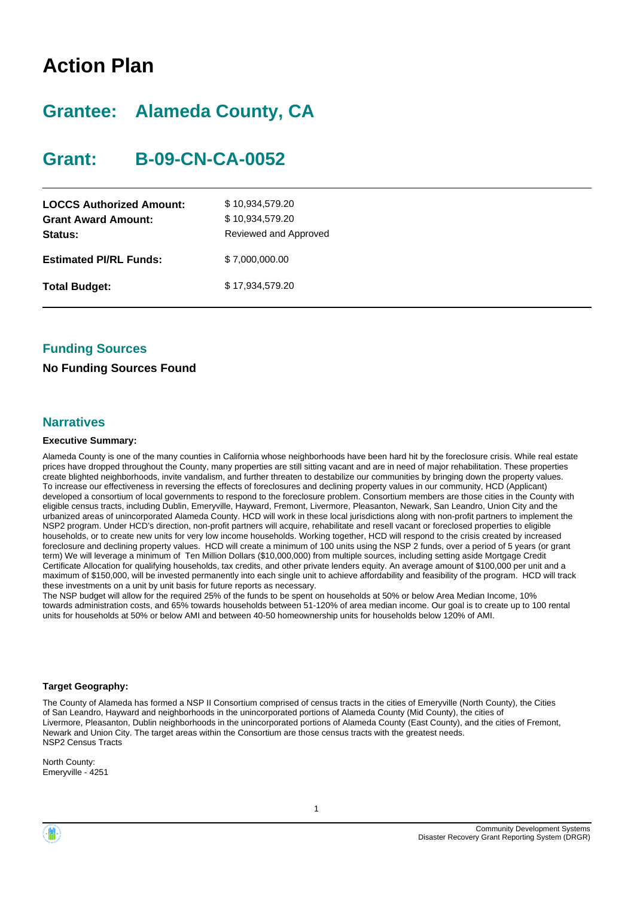## **Action Plan**

## **Grantee: Alameda County, CA**

## **Grant: B-09-CN-CA-0052**

| <b>LOCCS Authorized Amount:</b><br><b>Grant Award Amount:</b><br>Status: | \$10,934,579.20<br>\$10,934,579.20<br>Reviewed and Approved |
|--------------------------------------------------------------------------|-------------------------------------------------------------|
| <b>Estimated PI/RL Funds:</b>                                            | \$7,000,000.00                                              |
| <b>Total Budget:</b>                                                     | \$17,934,579.20                                             |

#### **Funding Sources**

#### **No Funding Sources Found**

#### **Narratives**

#### **Executive Summary:**

Alameda County is one of the many counties in California whose neighborhoods have been hard hit by the foreclosure crisis. While real estate prices have dropped throughout the County, many properties are still sitting vacant and are in need of major rehabilitation. These properties create blighted neighborhoods, invite vandalism, and further threaten to destabilize our communities by bringing down the property values. To increase our effectiveness in reversing the effects of foreclosures and declining property values in our community, HCD (Applicant) developed a consortium of local governments to respond to the foreclosure problem. Consortium members are those cities in the County with eligible census tracts, including Dublin, Emeryville, Hayward, Fremont, Livermore, Pleasanton, Newark, San Leandro, Union City and the urbanized areas of unincorporated Alameda County. HCD will work in these local jurisdictions along with non-profit partners to implement the NSP2 program. Under HCD's direction, non-profit partners will acquire, rehabilitate and resell vacant or foreclosed properties to eligible households, or to create new units for very low income households. Working together, HCD will respond to the crisis created by increased foreclosure and declining property values. HCD will create a minimum of 100 units using the NSP 2 funds, over a period of 5 years (or grant term) We will leverage a minimum of Ten Million Dollars (\$10,000,000) from multiple sources, including setting aside Mortgage Credit Certificate Allocation for qualifying households, tax credits, and other private lenders equity. An average amount of \$100,000 per unit and a maximum of \$150,000, will be invested permanently into each single unit to achieve affordability and feasibility of the program. HCD will track these investments on a unit by unit basis for future reports as necessary.

The NSP budget will allow for the required 25% of the funds to be spent on households at 50% or below Area Median Income, 10% towards administration costs, and 65% towards households between 51-120% of area median income. Our goal is to create up to 100 rental units for households at 50% or below AMI and between 40-50 homeownership units for households below 120% of AMI.

#### **Target Geography:**

The County of Alameda has formed a NSP II Consortium comprised of census tracts in the cities of Emeryville (North County), the Cities of San Leandro, Hayward and neighborhoods in the unincorporated portions of Alameda County (Mid County), the cities of Livermore, Pleasanton, Dublin neighborhoods in the unincorporated portions of Alameda County (East County), and the cities of Fremont, Newark and Union City. The target areas within the Consortium are those census tracts with the greatest needs. NSP2 Census Tracts

North County: Emeryville - 4251

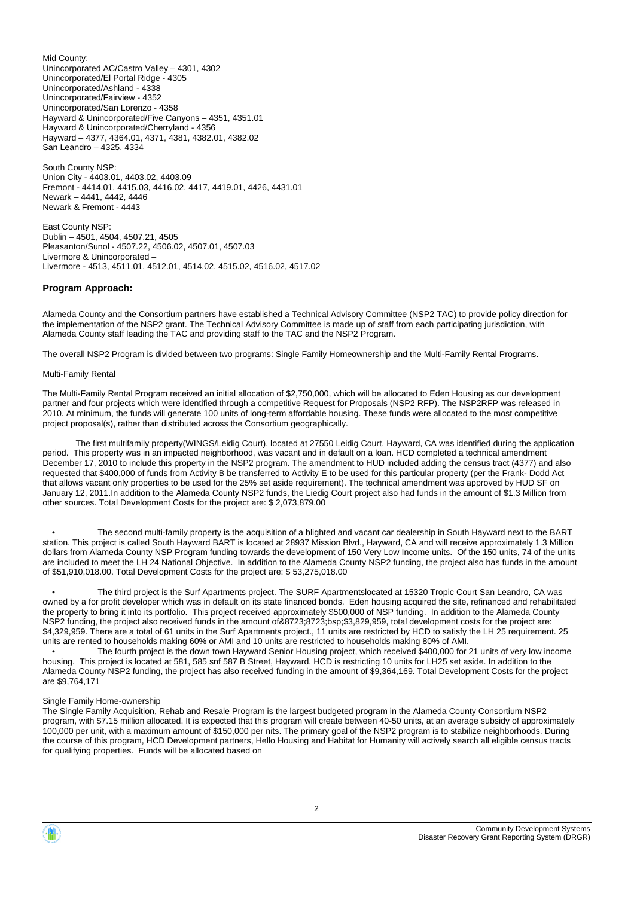Mid County: Unincorporated AC/Castro Valley – 4301, 4302 Unincorporated/El Portal Ridge - 4305 Unincorporated/Ashland - 4338 Unincorporated/Fairview - 4352 Unincorporated/San Lorenzo - 4358 Hayward & Unincorporated/Five Canyons – 4351, 4351.01 Hayward & Unincorporated/Cherryland - 4356 Hayward – 4377, 4364.01, 4371, 4381, 4382.01, 4382.02 San Leandro – 4325, 4334

South County NSP: Union City - 4403.01, 4403.02, 4403.09 Fremont - 4414.01, 4415.03, 4416.02, 4417, 4419.01, 4426, 4431.01 Newark – 4441, 4442, 4446 Newark & Fremont - 4443

East County NSP: Dublin – 4501, 4504, 4507.21, 4505 Pleasanton/Sunol - 4507.22, 4506.02, 4507.01, 4507.03 Livermore & Unincorporated – Livermore - 4513, 4511.01, 4512.01, 4514.02, 4515.02, 4516.02, 4517.02

#### **Program Approach:**

Alameda County and the Consortium partners have established a Technical Advisory Committee (NSP2 TAC) to provide policy direction for the implementation of the NSP2 grant. The Technical Advisory Committee is made up of staff from each participating jurisdiction, with Alameda County staff leading the TAC and providing staff to the TAC and the NSP2 Program.

The overall NSP2 Program is divided between two programs: Single Family Homeownership and the Multi-Family Rental Programs.

#### Multi-Family Rental

The Multi-Family Rental Program received an initial allocation of \$2,750,000, which will be allocated to Eden Housing as our development partner and four projects which were identified through a competitive Request for Proposals (NSP2 RFP). The NSP2RFP was released in 2010. At minimum, the funds will generate 100 units of long-term affordable housing. These funds were allocated to the most competitive project proposal(s), rather than distributed across the Consortium geographically.

 The first multifamily property(WINGS/Leidig Court), located at 27550 Leidig Court, Hayward, CA was identified during the application period. This property was in an impacted neighborhood, was vacant and in default on a loan. HCD completed a technical amendment December 17, 2010 to include this property in the NSP2 program. The amendment to HUD included adding the census tract (4377) and also requested that \$400,000 of funds from Activity B be transferred to Activity E to be used for this particular property (per the Frank- Dodd Act that allows vacant only properties to be used for the 25% set aside requirement). The technical amendment was approved by HUD SF on January 12, 2011.In addition to the Alameda County NSP2 funds, the Liedig Court project also had funds in the amount of \$1.3 Million from other sources. Total Development Costs for the project are: \$ 2,073,879.00

The second multi-family property is the acquisition of a blighted and vacant car dealership in South Hayward next to the BART station. This project is called South Hayward BART is located at 28937 Mission Blvd., Hayward, CA and will receive approximately 1.3 Million dollars from Alameda County NSP Program funding towards the development of 150 Very Low Income units. Of the 150 units, 74 of the units are included to meet the LH 24 National Objective. In addition to the Alameda County NSP2 funding, the project also has funds in the amount of \$51,910,018.00. Total Development Costs for the project are: \$ 53,275,018.00

 • The third project is the Surf Apartments project. The SURF Apartmentslocated at 15320 Tropic Court San Leandro, CA was owned by a for profit developer which was in default on its state financed bonds. Eden housing acquired the site, refinanced and rehabilitated the property to bring it into its portfolio. This project received approximately \$500,000 of NSP funding. In addition to the Alameda County NSP2 funding, the project also received funds in the amount of&8723;8723;bsp;\$3,829,959, total development costs for the project are: \$4,329,959. There are a total of 61 units in the Surf Apartments project., 11 units are restricted by HCD to satisfy the LH 25 requirement. 25 units are rented to households making 60% or AMI and 10 units are restricted to households making 80% of AMI.

The fourth project is the down town Hayward Senior Housing project, which received \$400,000 for 21 units of very low income housing. This project is located at 581, 585 snf 587 B Street, Hayward. HCD is restricting 10 units for LH25 set aside. In addition to the Alameda County NSP2 funding, the project has also received funding in the amount of \$9,364,169. Total Development Costs for the project are \$9,764,171

#### Single Family Home-ownership

The Single Family Acquisition, Rehab and Resale Program is the largest budgeted program in the Alameda County Consortium NSP2 program, with \$7.15 million allocated. It is expected that this program will create between 40-50 units, at an average subsidy of approximately 100,000 per unit, with a maximum amount of \$150,000 per nits. The primary goal of the NSP2 program is to stabilize neighborhoods. During the course of this program, HCD Development partners, Hello Housing and Habitat for Humanity will actively search all eligible census tracts for qualifying properties. Funds will be allocated based on

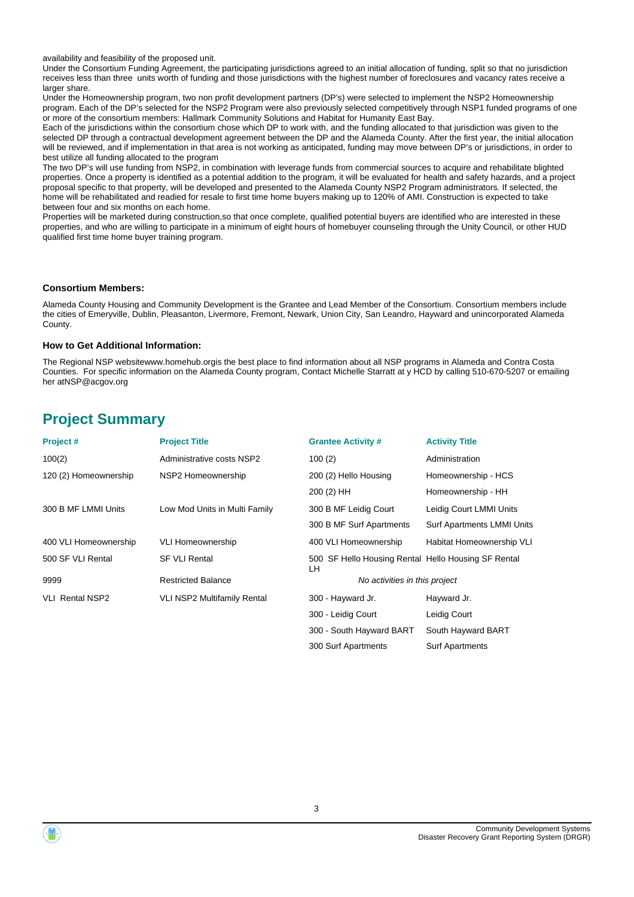availability and feasibility of the proposed unit.

Under the Consortium Funding Agreement, the participating jurisdictions agreed to an initial allocation of funding, split so that no jurisdiction receives less than three units worth of funding and those jurisdictions with the highest number of foreclosures and vacancy rates receive a larger share.

Under the Homeownership program, two non profit development partners (DP's) were selected to implement the NSP2 Homeownership program. Each of the DP's selected for the NSP2 Program were also previously selected competitively through NSP1 funded programs of one or more of the consortium members: Hallmark Community Solutions and Habitat for Humanity East Bay.

Each of the jurisdictions within the consortium chose which DP to work with, and the funding allocated to that jurisdiction was given to the selected DP through a contractual development agreement between the DP and the Alameda County. After the first year, the initial allocation will be reviewed, and if implementation in that area is not working as anticipated, funding may move between DP's or jurisdictions, in order to best utilize all funding allocated to the program

The two DP's will use funding from NSP2, in combination with leverage funds from commercial sources to acquire and rehabilitate blighted properties. Once a property is identified as a potential addition to the program, it will be evaluated for health and safety hazards, and a project proposal specific to that property, will be developed and presented to the Alameda County NSP2 Program administrators. If selected, the home will be rehabilitated and readied for resale to first time home buyers making up to 120% of AMI. Construction is expected to take between four and six months on each home.

Properties will be marketed during construction,so that once complete, qualified potential buyers are identified who are interested in these properties, and who are willing to participate in a minimum of eight hours of homebuyer counseling through the Unity Council, or other HUD qualified first time home buyer training program.

#### **Consortium Members:**

Alameda County Housing and Community Development is the Grantee and Lead Member of the Consortium. Consortium members include the cities of Emeryville, Dublin, Pleasanton, Livermore, Fremont, Newark, Union City, San Leandro, Hayward and unincorporated Alameda County.

#### **How to Get Additional Information:**

The Regional NSP websitewww.homehub.orgis the best place to find information about all NSP programs in Alameda and Contra Costa Counties. For specific information on the Alameda County program, Contact Michelle Starratt at y HCD by calling 510-670-5207 or emailing her atNSP@acgov.org

## **Project Summary**

| Project#               | <b>Project Title</b>               | <b>Grantee Activity #</b>                                 | <b>Activity Title</b>             |
|------------------------|------------------------------------|-----------------------------------------------------------|-----------------------------------|
| 100(2)                 | Administrative costs NSP2          | 100(2)                                                    | Administration                    |
| 120 (2) Homeownership  | NSP2 Homeownership                 | 200 (2) Hello Housing                                     | Homeownership - HCS               |
|                        |                                    | 200 (2) HH                                                | Homeownership - HH                |
| 300 B MF LMMI Units    | Low Mod Units in Multi Family      | 300 B MF Leidig Court                                     | Leidig Court LMMI Units           |
|                        |                                    | 300 B MF Surf Apartments                                  | <b>Surf Apartments LMMI Units</b> |
| 400 VLI Homeownership  | VLI Homeownership                  | 400 VLI Homeownership                                     | Habitat Homeownership VLI         |
| 500 SF VLI Rental      | <b>SF VLI Rental</b>               | 500 SF Hello Housing Rental Hello Housing SF Rental<br>LH |                                   |
| 9999                   | <b>Restricted Balance</b>          | No activities in this project                             |                                   |
| <b>VLI Rental NSP2</b> | <b>VLI NSP2 Multifamily Rental</b> | 300 - Hayward Jr.                                         | Hayward Jr.                       |
|                        |                                    | 300 - Leidig Court                                        | Leidig Court                      |
|                        |                                    | 300 - South Hayward BART                                  | South Hayward BART                |

300 Surf Apartments Surf Apartments

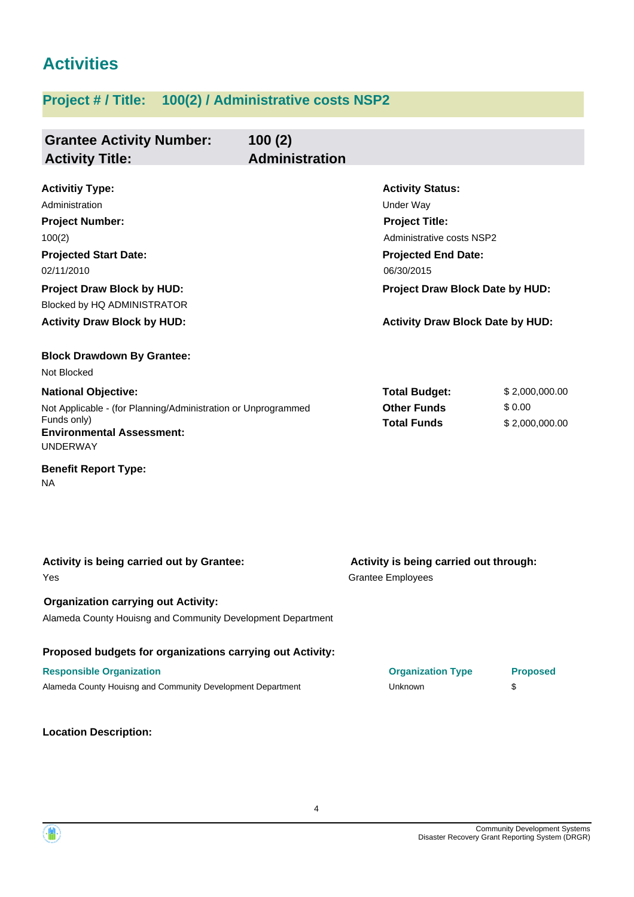## **Activities**

## **Project # / Title: 100(2) / Administrative costs NSP2**

| <b>Grantee Activity Number:</b><br><b>Activity Title:</b>                                                                                                                                                                            | 100(2)<br><b>Administration</b> |                                                                                                                                                                                                                             |                                                                    |                                            |
|--------------------------------------------------------------------------------------------------------------------------------------------------------------------------------------------------------------------------------------|---------------------------------|-----------------------------------------------------------------------------------------------------------------------------------------------------------------------------------------------------------------------------|--------------------------------------------------------------------|--------------------------------------------|
| <b>Activitiy Type:</b><br>Administration<br><b>Project Number:</b><br>100(2)<br><b>Projected Start Date:</b><br>02/11/2010<br><b>Project Draw Block by HUD:</b><br>Blocked by HQ ADMINISTRATOR<br><b>Activity Draw Block by HUD:</b> |                                 | <b>Activity Status:</b><br><b>Under Way</b><br><b>Project Title:</b><br>Administrative costs NSP2<br><b>Projected End Date:</b><br>06/30/2015<br>Project Draw Block Date by HUD:<br><b>Activity Draw Block Date by HUD:</b> |                                                                    |                                            |
| <b>Block Drawdown By Grantee:</b><br>Not Blocked                                                                                                                                                                                     |                                 |                                                                                                                                                                                                                             |                                                                    |                                            |
| <b>National Objective:</b><br>Not Applicable - (for Planning/Administration or Unprogrammed<br>Funds only)<br><b>Environmental Assessment:</b><br><b>UNDERWAY</b>                                                                    |                                 |                                                                                                                                                                                                                             | <b>Total Budget:</b><br><b>Other Funds</b><br><b>Total Funds</b>   | \$2,000,000.00<br>\$0.00<br>\$2,000,000.00 |
| <b>Benefit Report Type:</b><br>NA.                                                                                                                                                                                                   |                                 |                                                                                                                                                                                                                             |                                                                    |                                            |
|                                                                                                                                                                                                                                      |                                 |                                                                                                                                                                                                                             |                                                                    |                                            |
| Activity is being carried out by Grantee:<br>Yes                                                                                                                                                                                     |                                 |                                                                                                                                                                                                                             | Activity is being carried out through:<br><b>Grantee Employees</b> |                                            |
| <b>Organization carrying out Activity:</b><br>Alameda County Houisng and Community Development Department                                                                                                                            |                                 |                                                                                                                                                                                                                             |                                                                    |                                            |
| Proposed budgets for organizations carrying out Activity:<br><b>Responsible Organization</b><br>Alameda County Houisng and Community Development Department                                                                          |                                 |                                                                                                                                                                                                                             | <b>Organization Type</b><br><b>Unknown</b>                         | <b>Proposed</b><br>\$                      |

**Location Description:**

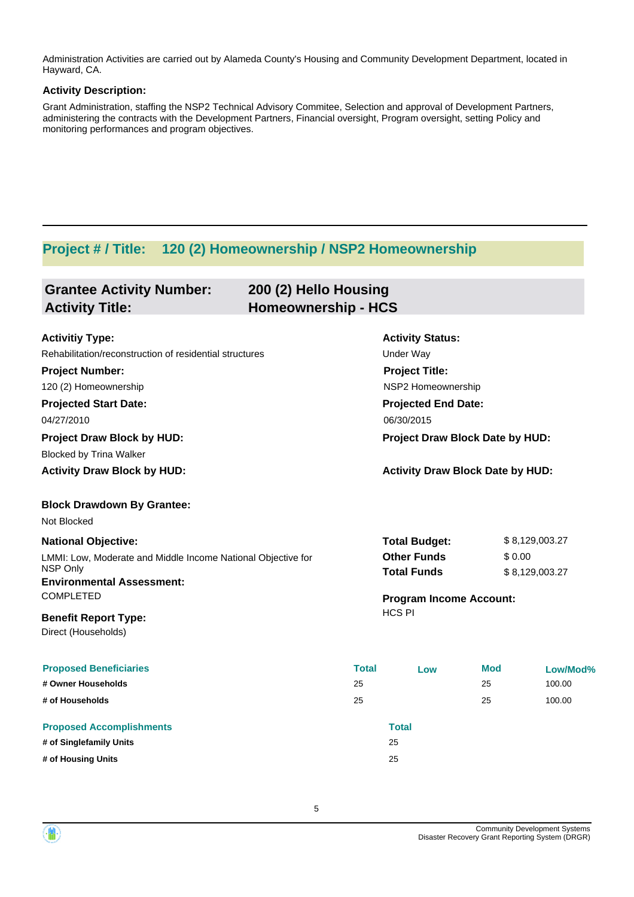Administration Activities are carried out by Alameda County's Housing and Community Development Department, located in Hayward, CA.

#### **Activity Description:**

Grant Administration, staffing the NSP2 Technical Advisory Commitee, Selection and approval of Development Partners, administering the contracts with the Development Partners, Financial oversight, Program oversight, setting Policy and monitoring performances and program objectives.

### **Project # / Title: 120 (2) Homeownership / NSP2 Homeownership**

| <b>Grantee Activity Number:</b><br><b>Activity Title:</b>                                                                                                                                                                                                                                       | 200 (2) Hello Housing<br><b>Homeownership - HCS</b> |                          |                                                                                                    |                                                                                                                                                                                                               |                                  |  |
|-------------------------------------------------------------------------------------------------------------------------------------------------------------------------------------------------------------------------------------------------------------------------------------------------|-----------------------------------------------------|--------------------------|----------------------------------------------------------------------------------------------------|---------------------------------------------------------------------------------------------------------------------------------------------------------------------------------------------------------------|----------------------------------|--|
| <b>Activitiy Type:</b><br>Rehabilitation/reconstruction of residential structures<br><b>Project Number:</b><br>120 (2) Homeownership<br><b>Projected Start Date:</b><br>04/27/2010<br><b>Project Draw Block by HUD:</b><br><b>Blocked by Trina Walker</b><br><b>Activity Draw Block by HUD:</b> |                                                     |                          |                                                                                                    | <b>Activity Status:</b><br>Under Way<br><b>Project Title:</b><br>NSP2 Homeownership<br><b>Projected End Date:</b><br>06/30/2015<br>Project Draw Block Date by HUD:<br><b>Activity Draw Block Date by HUD:</b> |                                  |  |
| <b>Block Drawdown By Grantee:</b><br>Not Blocked<br><b>National Objective:</b><br>LMMI: Low, Moderate and Middle Income National Objective for<br><b>NSP Only</b><br><b>Environmental Assessment:</b><br><b>COMPLETED</b>                                                                       |                                                     |                          | <b>Total Budget:</b><br><b>Other Funds</b><br><b>Total Funds</b><br><b>Program Income Account:</b> | \$0.00                                                                                                                                                                                                        | \$8,129,003.27<br>\$8,129,003.27 |  |
| <b>Benefit Report Type:</b><br>Direct (Households)<br><b>Proposed Beneficiaries</b><br># Owner Households<br># of Households                                                                                                                                                                    |                                                     | <b>Total</b><br>25<br>25 | <b>HCS PI</b><br>Low                                                                               | <b>Mod</b><br>25<br>25                                                                                                                                                                                        | Low/Mod%<br>100.00<br>100.00     |  |
| <b>Proposed Accomplishments</b><br># of Singlefamily Units<br># of Housing Units                                                                                                                                                                                                                |                                                     |                          | <b>Total</b><br>25<br>25                                                                           |                                                                                                                                                                                                               |                                  |  |

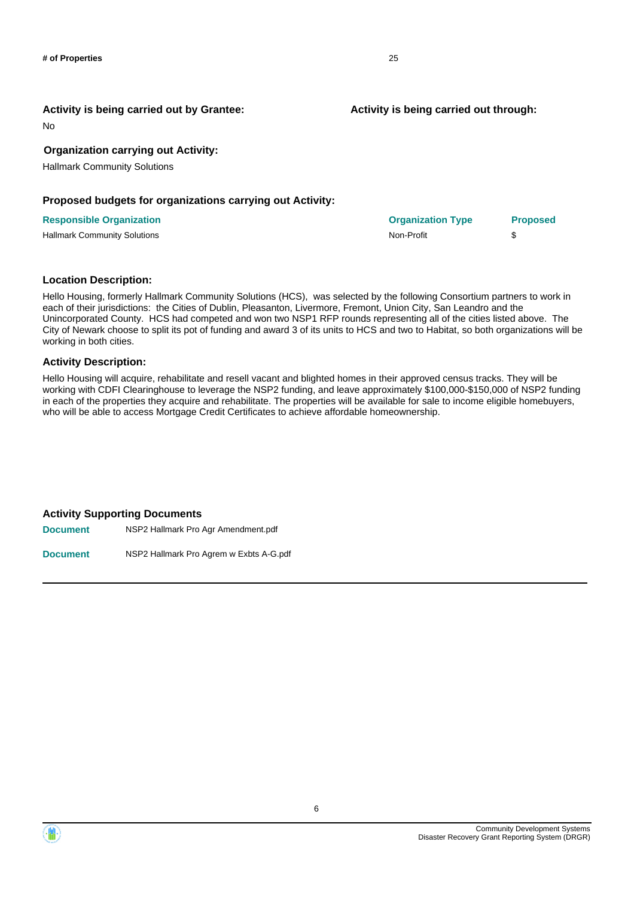No

#### **Organization carrying out Activity:**

Hallmark Community Solutions

#### **Proposed budgets for organizations carrying out Activity:**

#### **Responsible Organization**

Hallmark Community Solutions

#### **Location Description:**

Hello Housing, formerly Hallmark Community Solutions (HCS), was selected by the following Consortium partners to work in each of their jurisdictions: the Cities of Dublin, Pleasanton, Livermore, Fremont, Union City, San Leandro and the Unincorporated County. HCS had competed and won two NSP1 RFP rounds representing all of the cities listed above. The City of Newark choose to split its pot of funding and award 3 of its units to HCS and two to Habitat, so both organizations will be working in both cities.

#### **Activity Description:**

Hello Housing will acquire, rehabilitate and resell vacant and blighted homes in their approved census tracks. They will be working with CDFI Clearinghouse to leverage the NSP2 funding, and leave approximately \$100,000-\$150,000 of NSP2 funding in each of the properties they acquire and rehabilitate. The properties will be available for sale to income eligible homebuyers, who will be able to access Mortgage Credit Certificates to achieve affordable homeownership.

#### **Activity Supporting Documents**

**Document** NSP2 Hallmark Pro Agr Amendment.pdf **Document** NSP2 Hallmark Pro Agrem w Exbts A-G.pdf

> Community Development Systems Disaster Recovery Grant Reporting System (DRGR)

| <b>Organization Type</b> | <b>Proposed</b> |
|--------------------------|-----------------|
| Non-Profit               | S               |

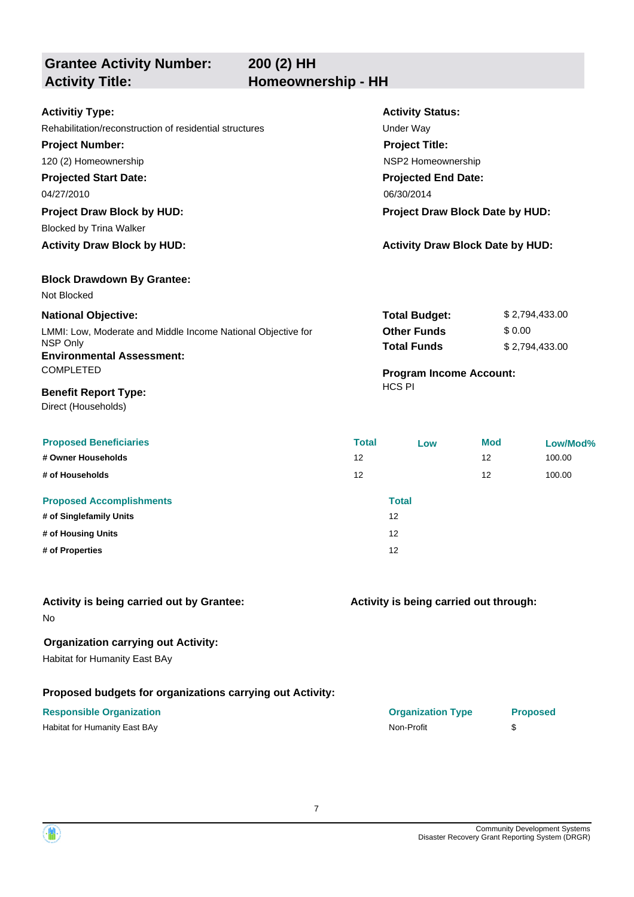**200 (2) HH**

**Grantee Activity Number:**

## Activity Title: **Homeownership - HH**

| <b>Activitiy Type:</b>                                       |            | <b>Activity Status:</b>                 |            |                |  |
|--------------------------------------------------------------|------------|-----------------------------------------|------------|----------------|--|
| Rehabilitation/reconstruction of residential structures      |            | Under Way                               |            |                |  |
| <b>Project Number:</b>                                       |            | <b>Project Title:</b>                   |            |                |  |
| 120 (2) Homeownership                                        |            | NSP2 Homeownership                      |            |                |  |
| <b>Projected Start Date:</b>                                 |            | <b>Projected End Date:</b>              |            |                |  |
| 04/27/2010                                                   | 06/30/2014 |                                         |            |                |  |
| <b>Project Draw Block by HUD:</b>                            |            | Project Draw Block Date by HUD:         |            |                |  |
| <b>Blocked by Trina Walker</b>                               |            |                                         |            |                |  |
| <b>Activity Draw Block by HUD:</b>                           |            | <b>Activity Draw Block Date by HUD:</b> |            |                |  |
| <b>Block Drawdown By Grantee:</b>                            |            |                                         |            |                |  |
| Not Blocked                                                  |            |                                         |            |                |  |
| <b>National Objective:</b>                                   |            | <b>Total Budget:</b>                    |            | \$2,794,433.00 |  |
| LMMI: Low, Moderate and Middle Income National Objective for |            | <b>Other Funds</b>                      | \$0.00     |                |  |
| <b>NSP Only</b><br><b>Environmental Assessment:</b>          |            | <b>Total Funds</b>                      |            | \$2,794,433.00 |  |
| <b>COMPLETED</b>                                             |            | <b>Program Income Account:</b>          |            |                |  |
| <b>Benefit Report Type:</b>                                  |            | <b>HCS PI</b>                           |            |                |  |
| Direct (Households)                                          |            |                                         |            |                |  |
| <b>Proposed Beneficiaries</b>                                | Total      | Low                                     | <b>Mod</b> | Low/Mod%       |  |

|                                 | .  | $-0.5$       | .  |        |
|---------------------------------|----|--------------|----|--------|
| # Owner Households              | 12 |              | 12 | 100.00 |
| # of Households                 | 12 |              | 12 | 100.00 |
| <b>Proposed Accomplishments</b> |    | <b>Total</b> |    |        |
| # of Singlefamily Units         |    | 12           |    |        |
| # of Housing Units              |    | 12           |    |        |
| # of Properties                 |    | 12           |    |        |
|                                 |    |              |    |        |

|  |  |  | <b>Activity is being carried out by Grantee:</b> |
|--|--|--|--------------------------------------------------|
|  |  |  |                                                  |

No

#### **Organization carrying out Activity:**

Habitat for Humanity East BAy

#### **Proposed budgets for organizations carrying out Activity:**

#### **Responsible Organization Organization Type Proposed**

Habitat for Humanity East BAy Non-Profit \$

#### **Activity is being carried out through:**

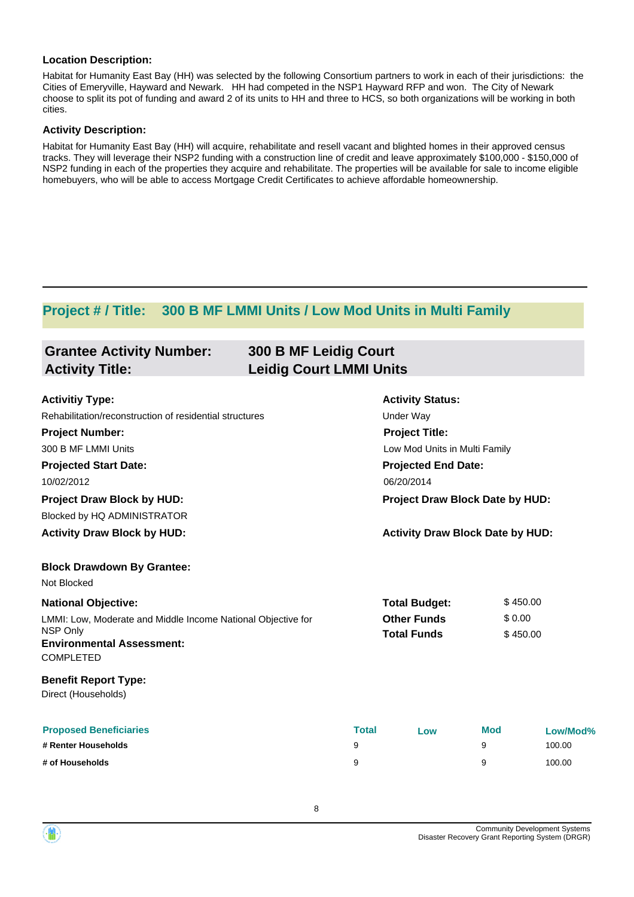#### **Location Description:**

Habitat for Humanity East Bay (HH) was selected by the following Consortium partners to work in each of their jurisdictions: the Cities of Emeryville, Hayward and Newark. HH had competed in the NSP1 Hayward RFP and won. The City of Newark choose to split its pot of funding and award 2 of its units to HH and three to HCS, so both organizations will be working in both cities.

#### **Activity Description:**

Habitat for Humanity East Bay (HH) will acquire, rehabilitate and resell vacant and blighted homes in their approved census tracks. They will leverage their NSP2 funding with a construction line of credit and leave approximately \$100,000 - \$150,000 of NSP2 funding in each of the properties they acquire and rehabilitate. The properties will be available for sale to income eligible homebuyers, who will be able to access Mortgage Credit Certificates to achieve affordable homeownership.

### **Project # / Title: 300 B MF LMMI Units / Low Mod Units in Multi Family**

| <b>Grantee Activity Number:</b><br><b>300 B MF Leidig Court</b><br><b>Leidig Court LMMI Units</b><br><b>Activity Title:</b> |              |                                         |            |          |  |  |
|-----------------------------------------------------------------------------------------------------------------------------|--------------|-----------------------------------------|------------|----------|--|--|
| <b>Activitiy Type:</b>                                                                                                      |              | <b>Activity Status:</b>                 |            |          |  |  |
| Rehabilitation/reconstruction of residential structures                                                                     |              | <b>Under Way</b>                        |            |          |  |  |
| <b>Project Number:</b>                                                                                                      |              | <b>Project Title:</b>                   |            |          |  |  |
| 300 B MF LMMI Units                                                                                                         |              | Low Mod Units in Multi Family           |            |          |  |  |
| <b>Projected Start Date:</b>                                                                                                |              | <b>Projected End Date:</b>              |            |          |  |  |
| 10/02/2012                                                                                                                  |              | 06/20/2014                              |            |          |  |  |
| <b>Project Draw Block by HUD:</b>                                                                                           |              | Project Draw Block Date by HUD:         |            |          |  |  |
| <b>Blocked by HQ ADMINISTRATOR</b>                                                                                          |              |                                         |            |          |  |  |
| <b>Activity Draw Block by HUD:</b>                                                                                          |              | <b>Activity Draw Block Date by HUD:</b> |            |          |  |  |
| <b>Block Drawdown By Grantee:</b>                                                                                           |              |                                         |            |          |  |  |
| Not Blocked                                                                                                                 |              |                                         |            |          |  |  |
| <b>National Objective:</b>                                                                                                  |              | <b>Total Budget:</b>                    |            | \$450.00 |  |  |
| LMMI: Low, Moderate and Middle Income National Objective for<br>NSP Only                                                    |              | <b>Other Funds</b>                      | \$0.00     |          |  |  |
| <b>Environmental Assessment:</b><br>COMPLETED                                                                               |              | <b>Total Funds</b>                      |            | \$450.00 |  |  |
| <b>Benefit Report Type:</b><br>Direct (Households)                                                                          |              |                                         |            |          |  |  |
| <b>Proposed Beneficiaries</b>                                                                                               | <b>Total</b> | Low                                     | <b>Mod</b> | Low/Mod% |  |  |
| # Renter Households                                                                                                         | 9            |                                         | 9          | 100.00   |  |  |
| # of Households                                                                                                             | 9            |                                         | 9          | 100.00   |  |  |

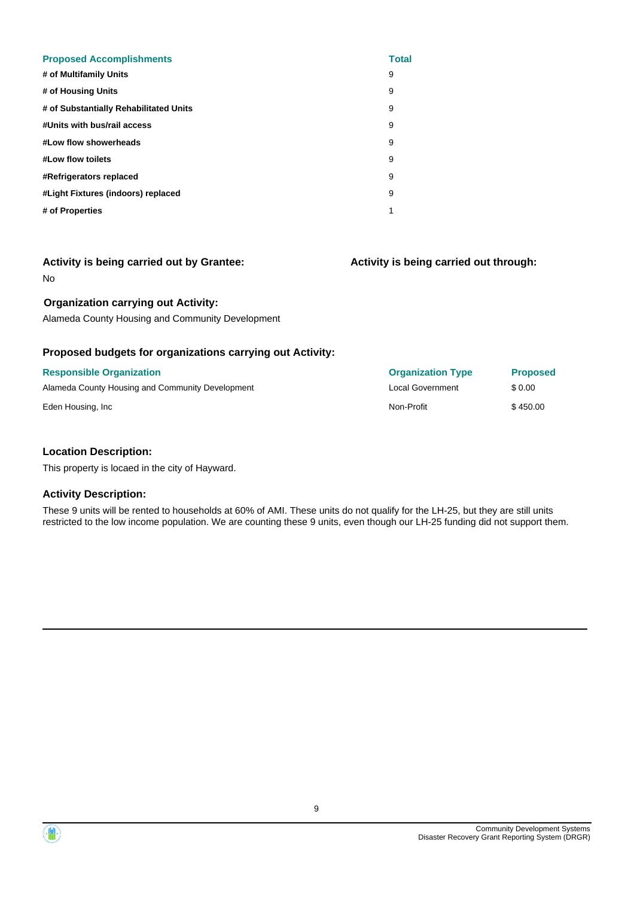| <b>Proposed Accomplishments</b>        | <b>Total</b> |
|----------------------------------------|--------------|
| # of Multifamily Units                 | 9            |
| # of Housing Units                     | 9            |
| # of Substantially Rehabilitated Units | 9            |
| #Units with bus/rail access            | 9            |
| #Low flow showerheads                  | 9            |
| #Low flow toilets                      | 9            |
| #Refrigerators replaced                | 9            |
| #Light Fixtures (indoors) replaced     | 9            |
| # of Properties                        | 1            |
|                                        |              |

**Activity is being carried out through:**

No

#### **Organization carrying out Activity:**

Alameda County Housing and Community Development

#### **Proposed budgets for organizations carrying out Activity:**

| <b>Responsible Organization</b>                  | <b>Organization Type</b> | <b>Proposed</b> |
|--------------------------------------------------|--------------------------|-----------------|
| Alameda County Housing and Community Development | <b>Local Government</b>  | \$ 0.00         |
| Eden Housing, Inc.                               | Non-Profit               | \$450.00        |

#### **Location Description:**

This property is locaed in the city of Hayward.

#### **Activity Description:**

These 9 units will be rented to households at 60% of AMI. These units do not qualify for the LH-25, but they are still units restricted to the low income population. We are counting these 9 units, even though our LH-25 funding did not support them.

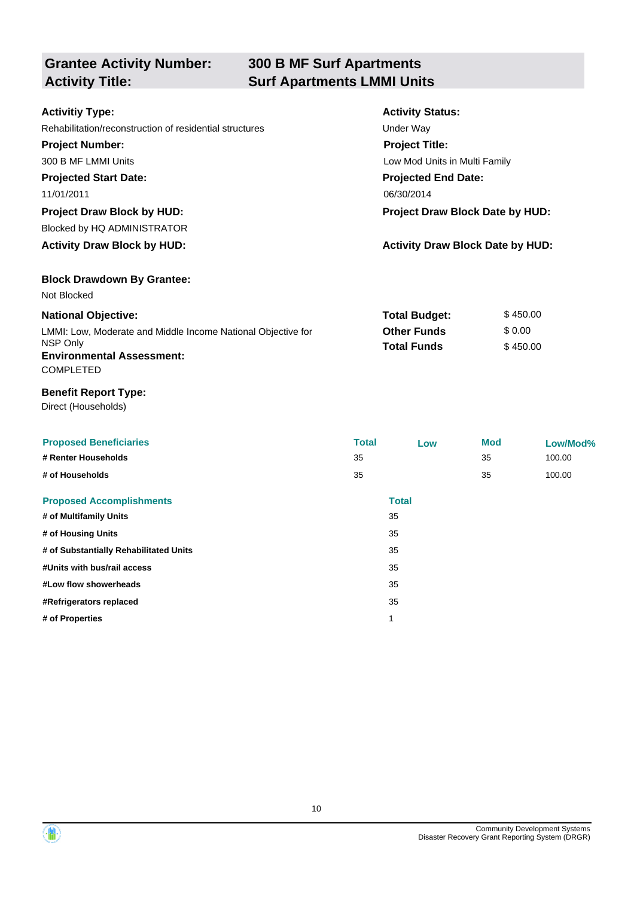# **Grantee Activity Number:**

## **300 B MF Surf Apartments Activity Title: Surf Apartments LMMI Units**

| <b>Activitiy Type:</b>                                  | <b>Activity Status:</b>                 |          |  |  |
|---------------------------------------------------------|-----------------------------------------|----------|--|--|
| Rehabilitation/reconstruction of residential structures | Under Way                               |          |  |  |
| <b>Project Number:</b>                                  | <b>Project Title:</b>                   |          |  |  |
| 300 B MF LMMI Units                                     | Low Mod Units in Multi Family           |          |  |  |
| <b>Projected Start Date:</b>                            | <b>Projected End Date:</b>              |          |  |  |
| 11/01/2011                                              | 06/30/2014                              |          |  |  |
| <b>Project Draw Block by HUD:</b>                       | Project Draw Block Date by HUD:         |          |  |  |
| Blocked by HQ ADMINISTRATOR                             |                                         |          |  |  |
| <b>Activity Draw Block by HUD:</b>                      | <b>Activity Draw Block Date by HUD:</b> |          |  |  |
| <b>Block Drawdown By Grantee:</b>                       |                                         |          |  |  |
| Not Blocked                                             |                                         |          |  |  |
| <b>National Objective:</b>                              | <b>Total Budget:</b>                    | \$450.00 |  |  |

#### **National Objective:**

| LMMI: Low, Moderate and Middle Income National Objective for | <b>Other Funds</b> | \$ 0.00  |
|--------------------------------------------------------------|--------------------|----------|
| NSP Only                                                     | <b>Total Funds</b> | \$450.00 |
| <b>Environmental Assessment:</b>                             |                    |          |
| <b>COMPLETED</b>                                             |                    |          |

#### **Benefit Report Type:**

Direct (Households)

| <b>Proposed Beneficiaries</b><br># Renter Households<br># of Households | <b>Total</b><br>35<br>35 | Low          | Mod<br>35<br>35 | Low/Mod%<br>100.00<br>100.00 |
|-------------------------------------------------------------------------|--------------------------|--------------|-----------------|------------------------------|
| <b>Proposed Accomplishments</b>                                         |                          | <b>Total</b> |                 |                              |
| # of Multifamily Units                                                  |                          | 35           |                 |                              |
| # of Housing Units                                                      |                          | 35           |                 |                              |
| # of Substantially Rehabilitated Units                                  |                          | 35           |                 |                              |
| #Units with bus/rail access                                             |                          | 35           |                 |                              |
| #Low flow showerheads                                                   |                          | 35           |                 |                              |
| #Refrigerators replaced                                                 |                          | 35           |                 |                              |
| # of Properties                                                         |                          | 1            |                 |                              |

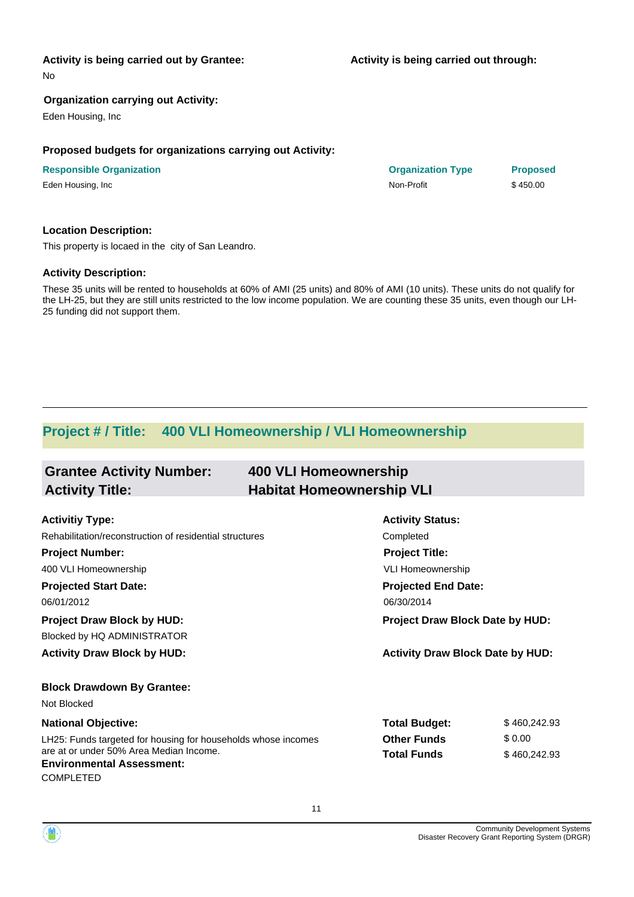**Activity is being carried out through:**

**Responsible Organization Organization Type Proposed**

No

#### **Organization carrying out Activity:**

Eden Housing, Inc

#### **Proposed budgets for organizations carrying out Activity:**

| <b>Responsible Organization</b> | <b>Organization Type</b> | <b>Propos</b> |
|---------------------------------|--------------------------|---------------|
| Eden Housing, Inc               | Non-Profit               | \$450.00      |

#### **Location Description:**

This property is locaed in the city of San Leandro.

#### **Activity Description:**

These 35 units will be rented to households at 60% of AMI (25 units) and 80% of AMI (10 units). These units do not qualify for the LH-25, but they are still units restricted to the low income population. We are counting these 35 units, even though our LH-25 funding did not support them.

### **Project # / Title: 400 VLI Homeownership / VLI Homeownership**

| <b>Grantee Activity Number:</b>                               | <b>400 VLI Homeownership</b>     |                                         |              |
|---------------------------------------------------------------|----------------------------------|-----------------------------------------|--------------|
| <b>Activity Title:</b>                                        | <b>Habitat Homeownership VLI</b> |                                         |              |
|                                                               |                                  |                                         |              |
| <b>Activitiy Type:</b>                                        |                                  | <b>Activity Status:</b>                 |              |
| Rehabilitation/reconstruction of residential structures       |                                  | Completed                               |              |
| <b>Project Number:</b>                                        |                                  | <b>Project Title:</b>                   |              |
| 400 VLI Homeownership                                         |                                  | <b>VLI Homeownership</b>                |              |
| <b>Projected Start Date:</b>                                  |                                  | <b>Projected End Date:</b>              |              |
| 06/01/2012                                                    |                                  | 06/30/2014                              |              |
| <b>Project Draw Block by HUD:</b>                             |                                  | <b>Project Draw Block Date by HUD:</b>  |              |
| Blocked by HQ ADMINISTRATOR                                   |                                  |                                         |              |
| <b>Activity Draw Block by HUD:</b>                            |                                  | <b>Activity Draw Block Date by HUD:</b> |              |
| <b>Block Drawdown By Grantee:</b>                             |                                  |                                         |              |
| Not Blocked                                                   |                                  |                                         |              |
| <b>National Objective:</b>                                    |                                  | <b>Total Budget:</b>                    | \$460,242.93 |
| LH25: Funds targeted for housing for households whose incomes |                                  | <b>Other Funds</b>                      | \$0.00       |
| are at or under 50% Area Median Income.                       |                                  | <b>Total Funds</b>                      | \$460,242.93 |
| <b>Environmental Assessment:</b>                              |                                  |                                         |              |
| COMPLETED                                                     |                                  |                                         |              |

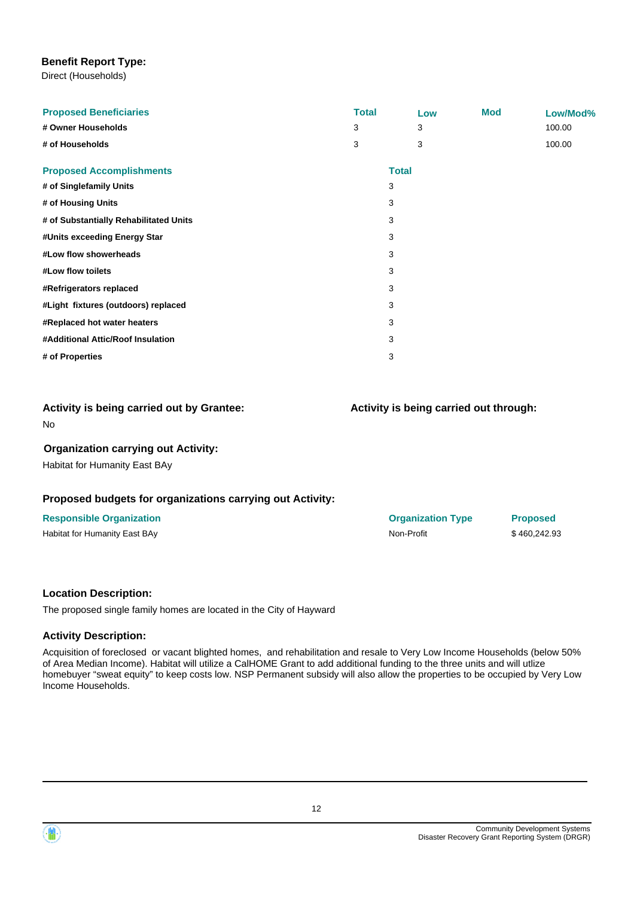#### **Benefit Report Type:**

Direct (Households)

| <b>Proposed Beneficiaries</b><br># Owner Households | <b>Total</b><br>3 |              | Low<br>3 | <b>Mod</b> | Low/Mod%<br>100.00 |
|-----------------------------------------------------|-------------------|--------------|----------|------------|--------------------|
| # of Households                                     | 3                 |              | 3        |            | 100.00             |
| <b>Proposed Accomplishments</b>                     |                   | <b>Total</b> |          |            |                    |
| # of Singlefamily Units                             |                   | 3            |          |            |                    |
| # of Housing Units                                  |                   | 3            |          |            |                    |
| # of Substantially Rehabilitated Units              |                   | 3            |          |            |                    |
| #Units exceeding Energy Star                        |                   | 3            |          |            |                    |
| #Low flow showerheads                               |                   | 3            |          |            |                    |
| #Low flow toilets                                   |                   | 3            |          |            |                    |
| #Refrigerators replaced                             |                   | 3            |          |            |                    |
| #Light fixtures (outdoors) replaced                 |                   | 3            |          |            |                    |
| #Replaced hot water heaters                         |                   | 3            |          |            |                    |
| #Additional Attic/Roof Insulation                   |                   | 3            |          |            |                    |
| # of Properties                                     |                   | 3            |          |            |                    |
|                                                     |                   |              |          |            |                    |

#### No **Activity is being carried out by Grantee:**

#### **Organization carrying out Activity:**

Habitat for Humanity East BAy

#### **Proposed budgets for organizations carrying out Activity:**

#### **Responsible Organization Organization Type Proposed**

Habitat for Humanity East BAy **Non-Profit** \$ 460,242.93

**Activity is being carried out through:**

## **Location Description:**

The proposed single family homes are located in the City of Hayward

#### **Activity Description:**

Acquisition of foreclosed or vacant blighted homes, and rehabilitation and resale to Very Low Income Households (below 50% of Area Median Income). Habitat will utilize a CalHOME Grant to add additional funding to the three units and will utlize homebuyer "sweat equity" to keep costs low. NSP Permanent subsidy will also allow the properties to be occupied by Very Low Income Households.



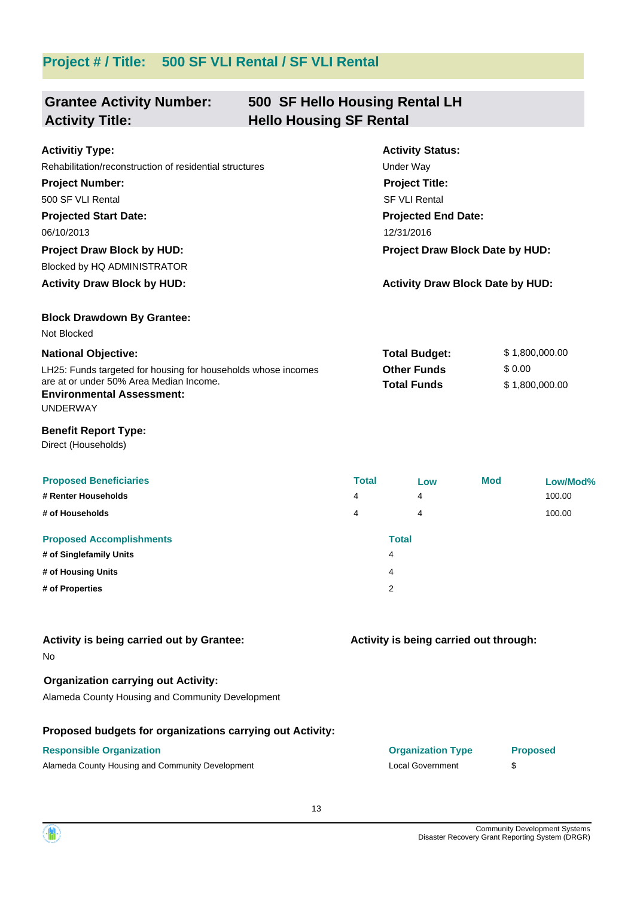## **Project # / Title: 500 SF VLI Rental / SF VLI Rental**

| <b>Grantee Activity Number:</b><br><b>Activity Title:</b>                                                                                                       | 500 SF Hello Housing Rental LH<br><b>Hello Housing SF Rental</b> |              |                                          |            |                          |          |
|-----------------------------------------------------------------------------------------------------------------------------------------------------------------|------------------------------------------------------------------|--------------|------------------------------------------|------------|--------------------------|----------|
| <b>Activitiy Type:</b>                                                                                                                                          |                                                                  |              | <b>Activity Status:</b>                  |            |                          |          |
| Rehabilitation/reconstruction of residential structures                                                                                                         |                                                                  |              | Under Way                                |            |                          |          |
| <b>Project Number:</b>                                                                                                                                          |                                                                  |              | <b>Project Title:</b>                    |            |                          |          |
| 500 SF VLI Rental                                                                                                                                               |                                                                  |              | <b>SF VLI Rental</b>                     |            |                          |          |
| <b>Projected Start Date:</b>                                                                                                                                    |                                                                  |              | <b>Projected End Date:</b>               |            |                          |          |
| 06/10/2013                                                                                                                                                      |                                                                  |              | 12/31/2016                               |            |                          |          |
| <b>Project Draw Block by HUD:</b>                                                                                                                               |                                                                  |              | <b>Project Draw Block Date by HUD:</b>   |            |                          |          |
| Blocked by HQ ADMINISTRATOR                                                                                                                                     |                                                                  |              |                                          |            |                          |          |
| <b>Activity Draw Block by HUD:</b>                                                                                                                              |                                                                  |              | <b>Activity Draw Block Date by HUD:</b>  |            |                          |          |
| <b>Block Drawdown By Grantee:</b><br>Not Blocked                                                                                                                |                                                                  |              |                                          |            |                          |          |
| <b>National Objective:</b>                                                                                                                                      |                                                                  |              | <b>Total Budget:</b>                     |            | \$1,800,000.00           |          |
| LH25: Funds targeted for housing for households whose incomes<br>are at or under 50% Area Median Income.<br><b>Environmental Assessment:</b><br><b>UNDERWAY</b> |                                                                  |              | <b>Other Funds</b><br><b>Total Funds</b> |            | \$0.00<br>\$1,800,000.00 |          |
| <b>Benefit Report Type:</b><br>Direct (Households)                                                                                                              |                                                                  |              |                                          |            |                          |          |
| <b>Proposed Beneficiaries</b>                                                                                                                                   |                                                                  | <b>Total</b> | Low                                      | <b>Mod</b> |                          | Low/Mod% |
| # Renter Households                                                                                                                                             |                                                                  | 4            | 4                                        |            |                          | 100.00   |
| # of Households                                                                                                                                                 |                                                                  | 4            | 4                                        |            |                          | 100.00   |
| <b>Proposed Accomplishments</b>                                                                                                                                 |                                                                  |              | <b>Total</b>                             |            |                          |          |
| # of Singlefamily Units                                                                                                                                         |                                                                  |              | 4                                        |            |                          |          |
| # of Housing Units                                                                                                                                              |                                                                  |              | 4                                        |            |                          |          |
| # of Properties                                                                                                                                                 |                                                                  |              | 2                                        |            |                          |          |
| Activity is being carried out by Grantee:<br>No.                                                                                                                |                                                                  |              | Activity is being carried out through:   |            |                          |          |
| <b>Organization carrying out Activity:</b><br>Alameda County Housing and Community Development                                                                  |                                                                  |              |                                          |            |                          |          |
| Proposed budgets for organizations carrying out Activity:                                                                                                       |                                                                  |              |                                          |            |                          |          |
| <b>Responsible Organization</b>                                                                                                                                 |                                                                  |              | <b>Organization Type</b>                 |            | <b>Proposed</b>          |          |
| Alameda County Housing and Community Development                                                                                                                |                                                                  |              | <b>Local Government</b>                  |            | \$                       |          |

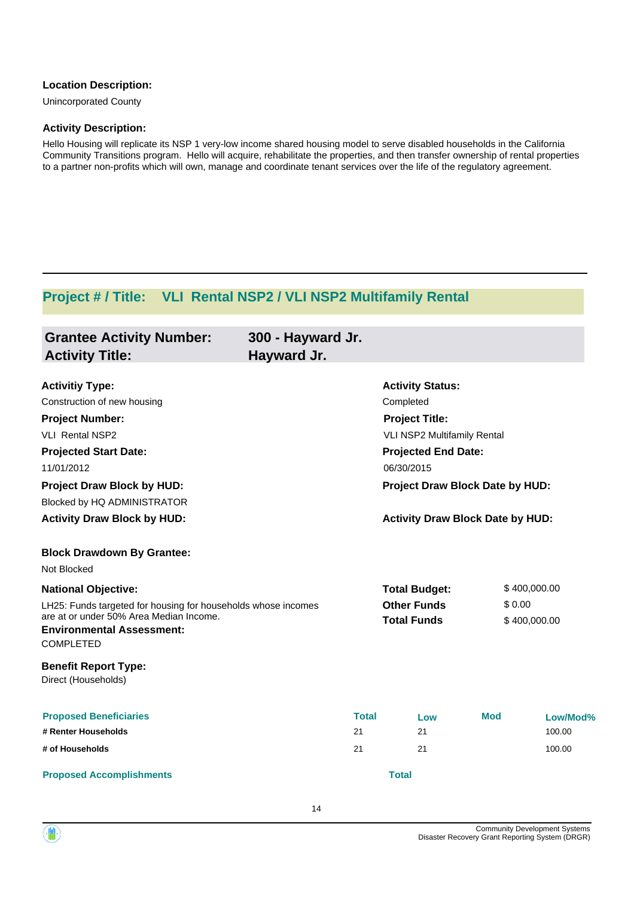#### **Location Description:**

Unincorporated County

#### **Activity Description:**

Hello Housing will replicate its NSP 1 very-low income shared housing model to serve disabled households in the California Community Transitions program. Hello will acquire, rehabilitate the properties, and then transfer ownership of rental properties to a partner non-profits which will own, manage and coordinate tenant services over the life of the regulatory agreement.

## **Project # / Title: VLI Rental NSP2 / VLI NSP2 Multifamily Rental**

| <b>Grantee Activity Number:</b>                                             | 300 - Hayward Jr. |                            |                                         |              |  |
|-----------------------------------------------------------------------------|-------------------|----------------------------|-----------------------------------------|--------------|--|
| <b>Activity Title:</b>                                                      | Hayward Jr.       |                            |                                         |              |  |
| <b>Activitiy Type:</b>                                                      |                   | <b>Activity Status:</b>    |                                         |              |  |
| Construction of new housing                                                 |                   | Completed                  |                                         |              |  |
| <b>Project Number:</b>                                                      |                   | <b>Project Title:</b>      |                                         |              |  |
| <b>VLI Rental NSP2</b>                                                      |                   |                            | VLI NSP2 Multifamily Rental             |              |  |
| <b>Projected Start Date:</b>                                                |                   | <b>Projected End Date:</b> |                                         |              |  |
| 11/01/2012                                                                  |                   | 06/30/2015                 |                                         |              |  |
| <b>Project Draw Block by HUD:</b>                                           |                   |                            | Project Draw Block Date by HUD:         |              |  |
| Blocked by HQ ADMINISTRATOR                                                 |                   |                            |                                         |              |  |
| <b>Activity Draw Block by HUD:</b>                                          |                   |                            | <b>Activity Draw Block Date by HUD:</b> |              |  |
| <b>Block Drawdown By Grantee:</b>                                           |                   |                            |                                         |              |  |
| Not Blocked                                                                 |                   |                            |                                         |              |  |
| <b>National Objective:</b>                                                  |                   | <b>Total Budget:</b>       |                                         | \$400,000.00 |  |
| LH25: Funds targeted for housing for households whose incomes               |                   | <b>Other Funds</b>         |                                         | \$0.00       |  |
| are at or under 50% Area Median Income.<br><b>Environmental Assessment:</b> |                   | <b>Total Funds</b>         |                                         | \$400,000.00 |  |
| <b>COMPLETED</b>                                                            |                   |                            |                                         |              |  |
| <b>Benefit Report Type:</b><br>Direct (Households)                          |                   |                            |                                         |              |  |
| <b>Proposed Beneficiaries</b>                                               | <b>Total</b>      | Low                        | <b>Mod</b>                              | Low/Mod%     |  |
| # Renter Households                                                         | 21                | 21                         |                                         | 100.00       |  |
| # of Households                                                             | 21                | 21                         |                                         | 100.00       |  |
| <b>Proposed Accomplishments</b>                                             |                   | <b>Total</b>               |                                         |              |  |

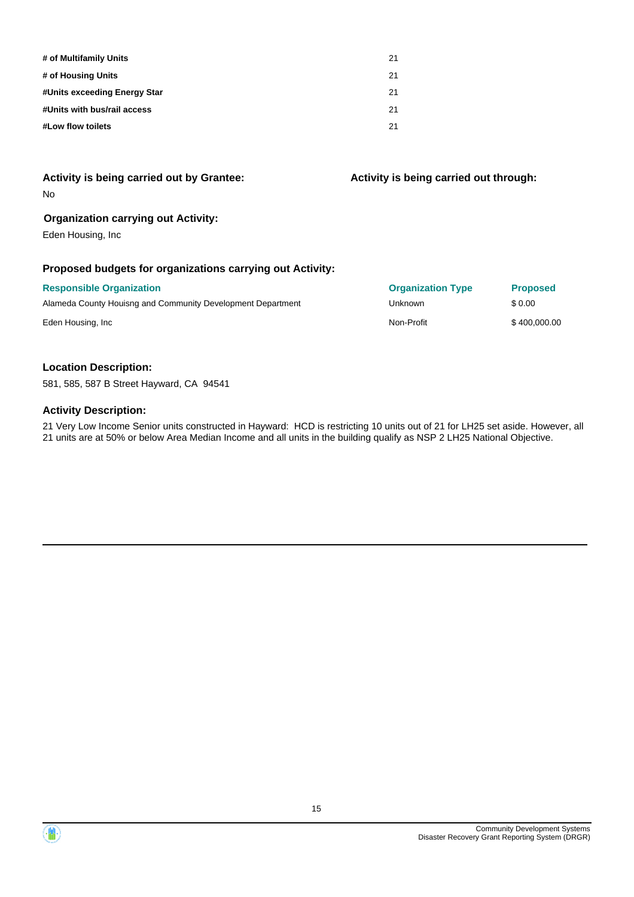| # of Multifamily Units       | 21 |
|------------------------------|----|
| # of Housing Units           | 21 |
| #Units exceeding Energy Star | 21 |
| #Units with bus/rail access  | 21 |
| #Low flow toilets            | 21 |

#### **Organization carrying out Activity:**

Eden Housing, Inc

#### **Proposed budgets for organizations carrying out Activity:**

| <b>Responsible Organization</b>                             | <b>Organization Type</b> | <b>Proposed</b> |
|-------------------------------------------------------------|--------------------------|-----------------|
| Alameda County Houisng and Community Development Department | Unknown                  | \$0.00          |
| Eden Housing, Inc.                                          | Non-Profit               | \$400,000,00    |

#### **Location Description:**

581, 585, 587 B Street Hayward, CA 94541

#### **Activity Description:**

21 Very Low Income Senior units constructed in Hayward: HCD is restricting 10 units out of 21 for LH25 set aside. However, all 21 units are at 50% or below Area Median Income and all units in the building qualify as NSP 2 LH25 National Objective.



**Activity is being carried out through:**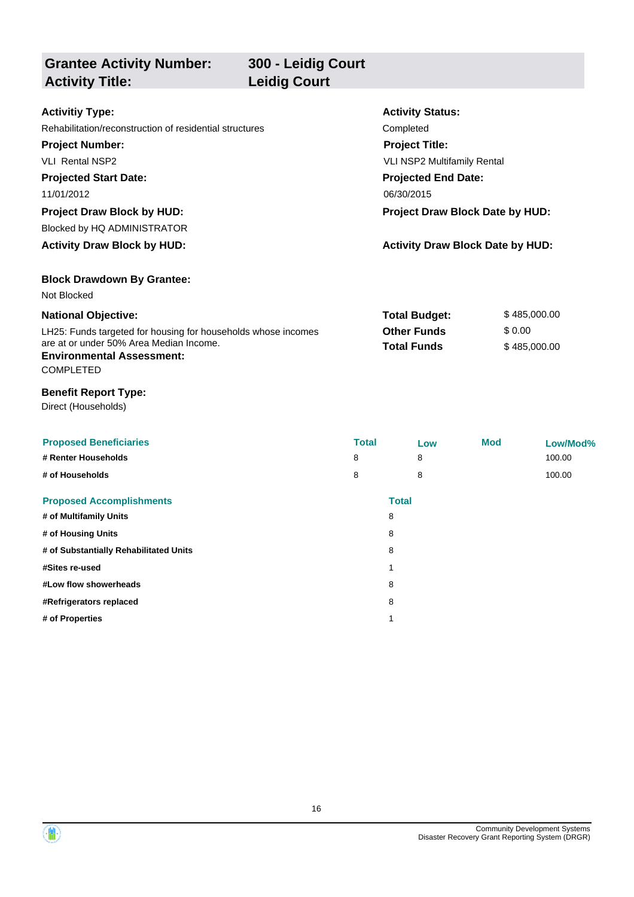**Grantee Activity Number: Activity Status: 300 - Leidig Court Activitiy Type:** Rehabilitation/reconstruction of residential structures Completed **Activity Title: Leidig Court Project Number:** VLI Rental NSP2 **Project Title:** VLI NSP2 Multifamily Rental

**Projected Start Date:** 11/01/2012 06/30/2015 **Project Draw Block by HUD: Project Draw Block Date by HUD:**

Blocked by HQ ADMINISTRATOR

**Activity Draw Block by HUD: Activity Draw Block Date by HUD:**

**Block Drawdown By Grantee:**

Not Blocked

| <b>National Objective:</b>                                    | <b>Total Budget:</b> | \$485,000,00 |
|---------------------------------------------------------------|----------------------|--------------|
| LH25: Funds targeted for housing for households whose incomes | <b>Other Funds</b>   | \$ 0.00      |
| are at or under 50% Area Median Income.                       | <b>Total Funds</b>   | \$485,000,00 |
| <b>Environmental Assessment:</b>                              |                      |              |

**Projected End Date:**

COMPLETED

#### **Benefit Report Type:**

Direct (Households)

| <b>Proposed Beneficiaries</b><br># Renter Households<br># of Households | <b>Total</b><br>8<br>8 | 8<br>8       | Low | <b>Mod</b> | Low/Mod%<br>100.00<br>100.00 |
|-------------------------------------------------------------------------|------------------------|--------------|-----|------------|------------------------------|
| <b>Proposed Accomplishments</b>                                         |                        | <b>Total</b> |     |            |                              |
| # of Multifamily Units                                                  |                        | 8            |     |            |                              |
| # of Housing Units                                                      |                        | 8            |     |            |                              |
| # of Substantially Rehabilitated Units                                  |                        | 8            |     |            |                              |
| #Sites re-used                                                          |                        | 1            |     |            |                              |
| #Low flow showerheads                                                   |                        | 8            |     |            |                              |
| #Refrigerators replaced                                                 |                        | 8            |     |            |                              |
| # of Properties                                                         |                        | 1            |     |            |                              |

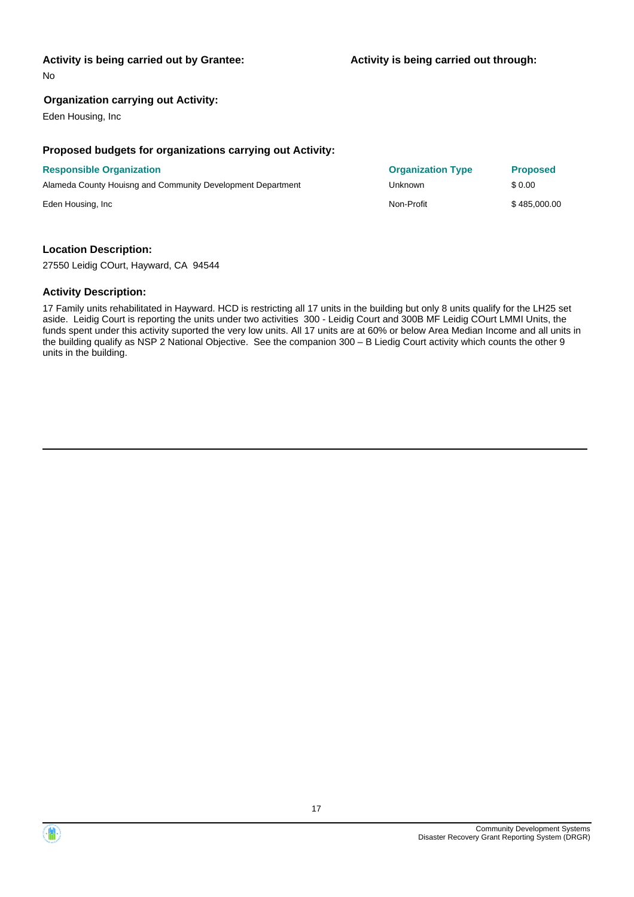No

#### **Organization carrying out Activity:**

Eden Housing, Inc

#### **Proposed budgets for organizations carrying out Activity:**

## **Responsible Organization** Alameda County Houisng and Community Development Department Eden Housing, Inc \$ 485,000.00

| <b>Organization Type</b> | <b>Proposed</b> |
|--------------------------|-----------------|
| Unknown                  | \$0.00          |
| Non-Profit               | \$485,000.0     |

#### **Location Description:**

27550 Leidig COurt, Hayward, CA 94544

#### **Activity Description:**

17 Family units rehabilitated in Hayward. HCD is restricting all 17 units in the building but only 8 units qualify for the LH25 set aside. Leidig Court is reporting the units under two activities 300 - Leidig Court and 300B MF Leidig COurt LMMI Units, the funds spent under this activity suported the very low units. All 17 units are at 60% or below Area Median Income and all units in the building qualify as NSP 2 National Objective. See the companion 300 – B Liedig Court activity which counts the other 9 units in the building.

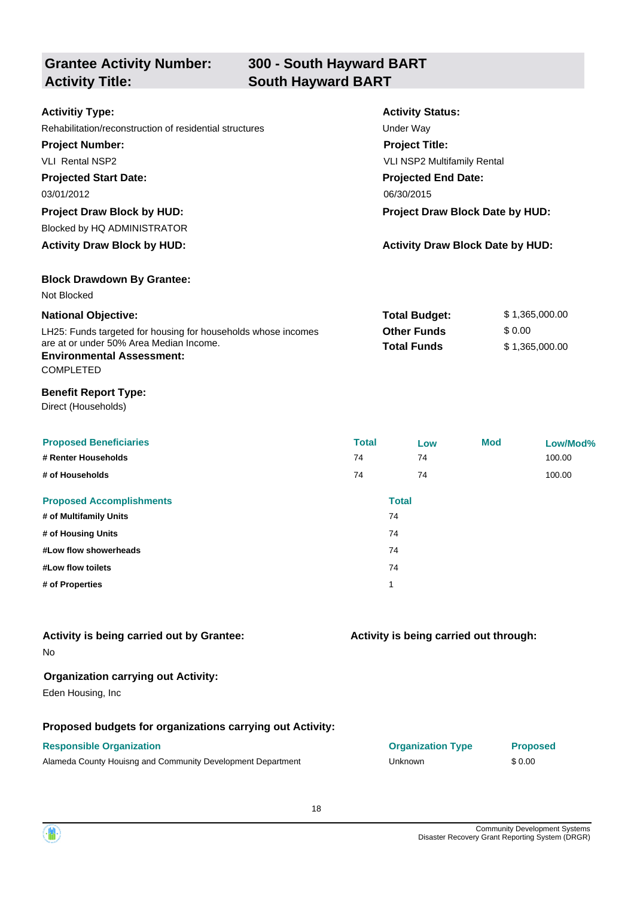| <b>Grantee Activity Number:</b><br><b>Activity Title:</b> | 300 - South Hayward BART<br><b>South Hayward BART</b> |  |
|-----------------------------------------------------------|-------------------------------------------------------|--|
| <b>Activitiy Type:</b>                                    | <b>Activity Status:</b>                               |  |
| Rehabilitation/reconstruction of residential structures   | Under Way                                             |  |
| <b>Project Number:</b>                                    | <b>Project Title:</b>                                 |  |
| <b>VLI Rental NSP2</b>                                    | <b>VLI NSP2 Multifamily Rental</b>                    |  |
| <b>Projected Start Date:</b>                              | <b>Projected End Date:</b>                            |  |
| 03/01/2012                                                | 06/30/2015                                            |  |
| <b>Project Draw Block by HUD:</b>                         | Project Draw Block Date by HUD:                       |  |
| Blocked by HQ ADMINISTRATOR                               |                                                       |  |
| <b>Activity Draw Block by HUD:</b>                        | <b>Activity Draw Block Date by HUD:</b>               |  |
| <b>Block Drawdown By Grantee:</b>                         |                                                       |  |

| <b>National Objective:</b>                                    | <b>Total Budget:</b> | \$1,365,000.00 |
|---------------------------------------------------------------|----------------------|----------------|
| LH25: Funds targeted for housing for households whose incomes | <b>Other Funds</b>   | \$ 0.00        |
| are at or under 50% Area Median Income.                       | <b>Total Funds</b>   | \$1.365.000.00 |

#### **Environmental Assessment:**

COMPLETED

Not Blocked

#### **Benefit Report Type:**

Direct (Households)

| <b>Proposed Beneficiaries</b><br># Renter Households<br># of Households | <b>Total</b><br>74<br>74 | Low<br>74<br>74    | <b>Mod</b> | Low/Mod%<br>100.00<br>100.00 |
|-------------------------------------------------------------------------|--------------------------|--------------------|------------|------------------------------|
| <b>Proposed Accomplishments</b><br># of Multifamily Units               |                          | <b>Total</b><br>74 |            |                              |
| # of Housing Units<br>#Low flow showerheads<br>#Low flow toilets        |                          | 74<br>74<br>74     |            |                              |
| # of Properties                                                         |                          | 1                  |            |                              |

| Activity is being carried out by Grantee: |  |  |
|-------------------------------------------|--|--|
| No                                        |  |  |

#### **Organization carrying out Activity:**

Eden Housing, Inc

#### **Proposed budgets for organizations carrying out Activity:**

Alameda County Houisng and Community Development Department **Fig. 10.00** Unknown \$ 0.00

## **Responsible Organization Organization Type Proposed**

**Activity is being carried out through:**

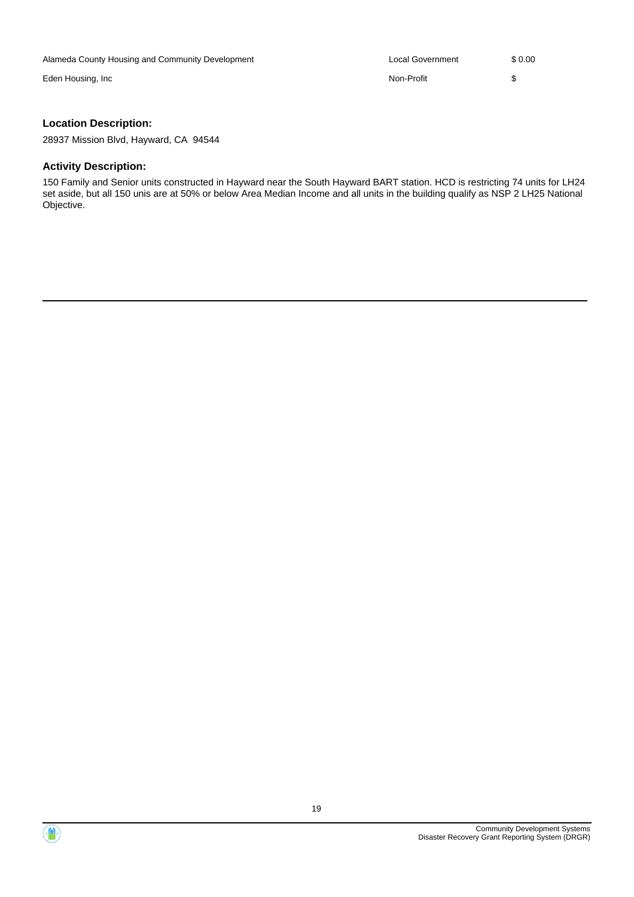| Alameda County Housing and Community Development | Local Government | \$ 0.00 |
|--------------------------------------------------|------------------|---------|
| Eden Housing, Inc                                | Non-Profit       |         |
|                                                  |                  |         |

#### **Location Description:**

28937 Mission Blvd, Hayward, CA 94544

#### **Activity Description:**

150 Family and Senior units constructed in Hayward near the South Hayward BART station. HCD is restricting 74 units for LH24 set aside, but all 150 unis are at 50% or below Area Median Income and all units in the building qualify as NSP 2 LH25 National Objective.

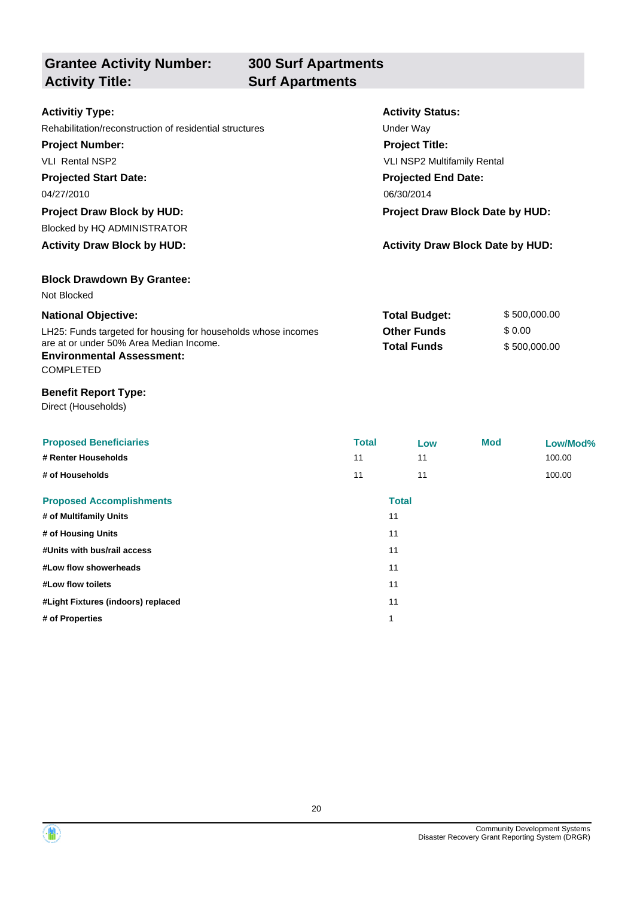**Grantee Activity Number: Activity Title: Surf Apartments**

# **300 Surf Apartments**

| <b>Activitiy Type:</b>                                        | <b>Activity Status:</b>                 |              |  |
|---------------------------------------------------------------|-----------------------------------------|--------------|--|
| Rehabilitation/reconstruction of residential structures       | Under Way                               |              |  |
| <b>Project Number:</b>                                        | <b>Project Title:</b>                   |              |  |
| <b>VLI Rental NSP2</b>                                        | <b>VLI NSP2 Multifamily Rental</b>      |              |  |
| <b>Projected Start Date:</b>                                  | <b>Projected End Date:</b>              |              |  |
| 04/27/2010                                                    | 06/30/2014                              |              |  |
| <b>Project Draw Block by HUD:</b>                             | Project Draw Block Date by HUD:         |              |  |
| Blocked by HQ ADMINISTRATOR                                   |                                         |              |  |
| <b>Activity Draw Block by HUD:</b>                            | <b>Activity Draw Block Date by HUD:</b> |              |  |
| <b>Block Drawdown By Grantee:</b>                             |                                         |              |  |
| Not Blocked                                                   |                                         |              |  |
| <b>National Objective:</b>                                    | <b>Total Budget:</b>                    | \$500,000.00 |  |
| LH25: Funds targeted for housing for households whose incomes | <b>Other Funds</b>                      | \$0.00       |  |
| are at or under 50% Area Median Income.                       | <b>Total Funds</b>                      | \$500,000.00 |  |

#### **Environmental Assessment:**

COMPLETED

#### **Benefit Report Type:**

Direct (Households)

| <b>Proposed Beneficiaries</b>      | <b>Total</b> | Low | <b>Mod</b> | Low/Mod% |
|------------------------------------|--------------|-----|------------|----------|
| # Renter Households                | 11           | 11  |            | 100.00   |
| # of Households                    | 11           | 11  |            | 100.00   |
| <b>Proposed Accomplishments</b>    | <b>Total</b> |     |            |          |
| # of Multifamily Units             | 11           |     |            |          |
| # of Housing Units                 | 11           |     |            |          |
| #Units with bus/rail access        | 11           |     |            |          |
| #Low flow showerheads              | 11           |     |            |          |
| #Low flow toilets                  | 11           |     |            |          |
| #Light Fixtures (indoors) replaced | 11           |     |            |          |
| # of Properties                    | 1            |     |            |          |

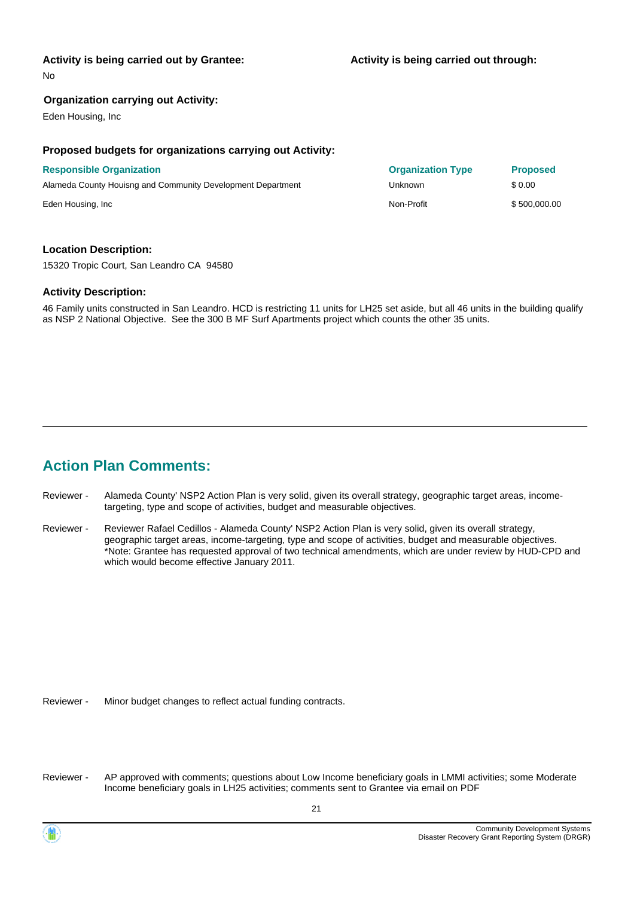No

#### **Organization carrying out Activity:**

Eden Housing, Inc

#### **Proposed budgets for organizations carrying out Activity:**

| <b>Responsible Organization</b>                             | <b>Organization Type</b> | <b>Proposed</b> |
|-------------------------------------------------------------|--------------------------|-----------------|
| Alameda County Houisng and Community Development Department | Unknown                  | \$ 0.00         |
| Eden Housing, Inc.                                          | Non-Profit               | \$500,000.00    |

#### **Location Description:**

15320 Tropic Court, San Leandro CA 94580

#### **Activity Description:**

46 Family units constructed in San Leandro. HCD is restricting 11 units for LH25 set aside, but all 46 units in the building qualify as NSP 2 National Objective. See the 300 B MF Surf Apartments project which counts the other 35 units.

## **Action Plan Comments:**

- Alameda County' NSP2 Action Plan is very solid, given its overall strategy, geographic target areas, incometargeting, type and scope of activities, budget and measurable objectives. Reviewer -
- Reviewer Rafael Cedillos Alameda County' NSP2 Action Plan is very solid, given its overall strategy, geographic target areas, income-targeting, type and scope of activities, budget and measurable objectives. \*Note: Grantee has requested approval of two technical amendments, which are under review by HUD-CPD and which would become effective January 2011. Reviewer -

Reviewer - Minor budget changes to reflect actual funding contracts.

AP approved with comments; questions about Low Income beneficiary goals in LMMI activities; some Moderate Income beneficiary goals in LH25 activities; comments sent to Grantee via email on PDF Reviewer -